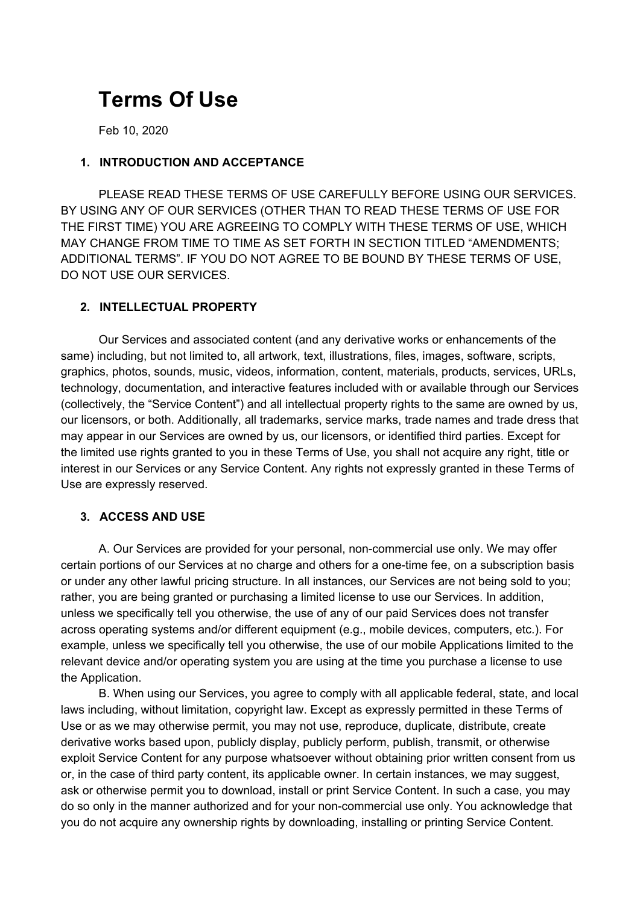# **Terms Of Use**

Feb 10, 2020

## **1. INTRODUCTION AND ACCEPTANCE**

PLEASE READ THESE TERMS OF USE CAREFULLY BEFORE USING OUR SERVICES. BY USING ANY OF OUR SERVICES (OTHER THAN TO READ THESE TERMS OF USE FOR THE FIRST TIME) YOU ARE AGREEING TO COMPLY WITH THESE TERMS OF USE, WHICH MAY CHANGE FROM TIME TO TIME AS SET FORTH IN SECTION TITLED "AMENDMENTS; ADDITIONAL TERMS". IF YOU DO NOT AGREE TO BE BOUND BY THESE TERMS OF USE, DO NOT USE OUR SERVICES.

#### **2. INTELLECTUAL PROPERTY**

Our Services and associated content (and any derivative works or enhancements of the same) including, but not limited to, all artwork, text, illustrations, files, images, software, scripts, graphics, photos, sounds, music, videos, information, content, materials, products, services, URLs, technology, documentation, and interactive features included with or available through our Services (collectively, the "Service Content") and all intellectual property rights to the same are owned by us, our licensors, or both. Additionally, all trademarks, service marks, trade names and trade dress that may appear in our Services are owned by us, our licensors, or identified third parties. Except for the limited use rights granted to you in these Terms of Use, you shall not acquire any right, title or interest in our Services or any Service Content. Any rights not expressly granted in these Terms of Use are expressly reserved.

## **3. ACCESS AND USE**

A. Our Services are provided for your personal, non-commercial use only. We may offer certain portions of our Services at no charge and others for a one-time fee, on a subscription basis or under any other lawful pricing structure. In all instances, our Services are not being sold to you; rather, you are being granted or purchasing a limited license to use our Services. In addition, unless we specifically tell you otherwise, the use of any of our paid Services does not transfer across operating systems and/or different equipment (e.g., mobile devices, computers, etc.). For example, unless we specifically tell you otherwise, the use of our mobile Applications limited to the relevant device and/or operating system you are using at the time you purchase a license to use the Application.

B. When using our Services, you agree to comply with all applicable federal, state, and local laws including, without limitation, copyright law. Except as expressly permitted in these Terms of Use or as we may otherwise permit, you may not use, reproduce, duplicate, distribute, create derivative works based upon, publicly display, publicly perform, publish, transmit, or otherwise exploit Service Content for any purpose whatsoever without obtaining prior written consent from us or, in the case of third party content, its applicable owner. In certain instances, we may suggest, ask or otherwise permit you to download, install or print Service Content. In such a case, you may do so only in the manner authorized and for your non-commercial use only. You acknowledge that you do not acquire any ownership rights by downloading, installing or printing Service Content.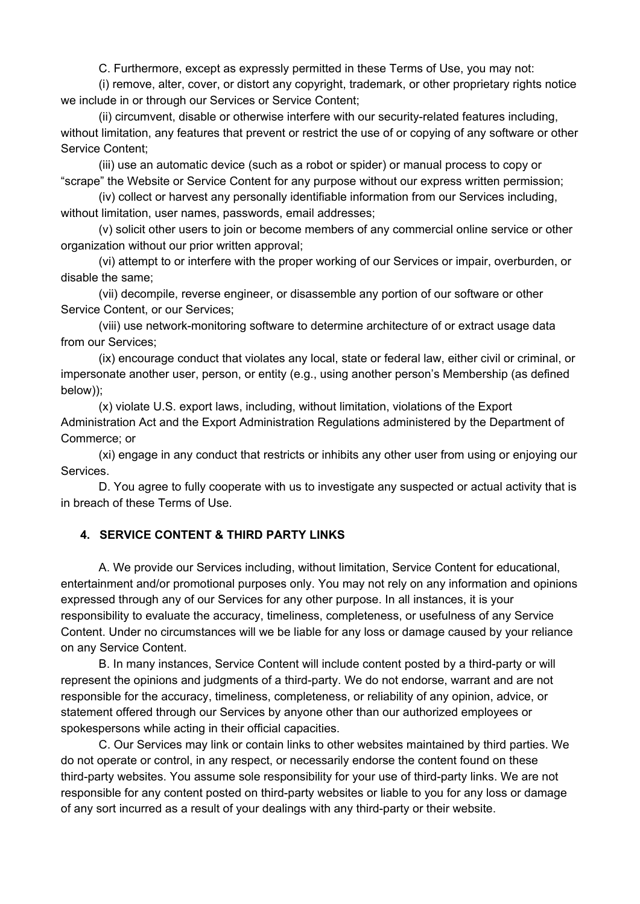C. Furthermore, except as expressly permitted in these Terms of Use, you may not:

(i) remove, alter, cover, or distort any copyright, trademark, or other proprietary rights notice we include in or through our Services or Service Content;

(ii) circumvent, disable or otherwise interfere with our security-related features including, without limitation, any features that prevent or restrict the use of or copying of any software or other Service Content;

(iii) use an automatic device (such as a robot or spider) or manual process to copy or "scrape" the Website or Service Content for any purpose without our express written permission;

(iv) collect or harvest any personally identifiable information from our Services including, without limitation, user names, passwords, email addresses;

(v) solicit other users to join or become members of any commercial online service or other organization without our prior written approval;

(vi) attempt to or interfere with the proper working of our Services or impair, overburden, or disable the same;

(vii) decompile, reverse engineer, or disassemble any portion of our software or other Service Content, or our Services;

(viii) use network-monitoring software to determine architecture of or extract usage data from our Services;

(ix) encourage conduct that violates any local, state or federal law, either civil or criminal, or impersonate another user, person, or entity (e.g., using another person's Membership (as defined below));

(x) violate U.S. export laws, including, without limitation, violations of the Export Administration Act and the Export Administration Regulations administered by the Department of Commerce; or

(xi) engage in any conduct that restricts or inhibits any other user from using or enjoying our Services.

D. You agree to fully cooperate with us to investigate any suspected or actual activity that is in breach of these Terms of Use.

## **4. SERVICE CONTENT & THIRD PARTY LINKS**

A. We provide our Services including, without limitation, Service Content for educational, entertainment and/or promotional purposes only. You may not rely on any information and opinions expressed through any of our Services for any other purpose. In all instances, it is your responsibility to evaluate the accuracy, timeliness, completeness, or usefulness of any Service Content. Under no circumstances will we be liable for any loss or damage caused by your reliance on any Service Content.

B. In many instances, Service Content will include content posted by a third-party or will represent the opinions and judgments of a third-party. We do not endorse, warrant and are not responsible for the accuracy, timeliness, completeness, or reliability of any opinion, advice, or statement offered through our Services by anyone other than our authorized employees or spokespersons while acting in their official capacities.

C. Our Services may link or contain links to other websites maintained by third parties. We do not operate or control, in any respect, or necessarily endorse the content found on these third-party websites. You assume sole responsibility for your use of third-party links. We are not responsible for any content posted on third-party websites or liable to you for any loss or damage of any sort incurred as a result of your dealings with any third-party or their website.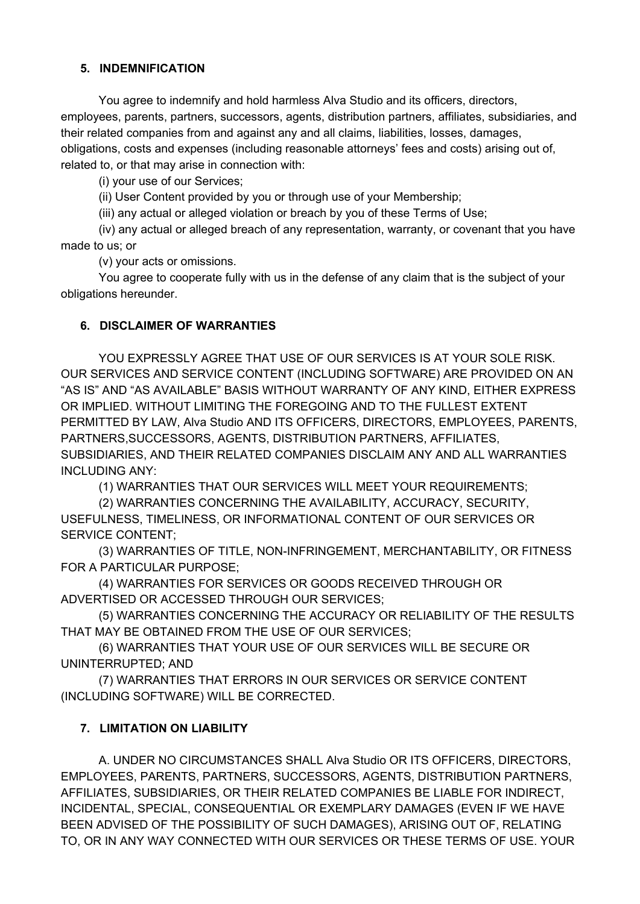## **5. INDEMNIFICATION**

You agree to indemnify and hold harmless Alva Studio and its officers, directors, employees, parents, partners, successors, agents, distribution partners, affiliates, subsidiaries, and their related companies from and against any and all claims, liabilities, losses, damages, obligations, costs and expenses (including reasonable attorneys' fees and costs) arising out of, related to, or that may arise in connection with:

(i) your use of our Services;

(ii) User Content provided by you or through use of your Membership;

(iii) any actual or alleged violation or breach by you of these Terms of Use;

(iv) any actual or alleged breach of any representation, warranty, or covenant that you have made to us; or

(v) your acts or omissions.

You agree to cooperate fully with us in the defense of any claim that is the subject of your obligations hereunder.

#### **6. DISCLAIMER OF WARRANTIES**

YOU EXPRESSLY AGREE THAT USE OF OUR SERVICES IS AT YOUR SOLE RISK. OUR SERVICES AND SERVICE CONTENT (INCLUDING SOFTWARE) ARE PROVIDED ON AN "AS IS" AND "AS AVAILABLE" BASIS WITHOUT WARRANTY OF ANY KIND, EITHER EXPRESS OR IMPLIED. WITHOUT LIMITING THE FOREGOING AND TO THE FULLEST EXTENT PERMITTED BY LAW, Alva Studio AND ITS OFFICERS, DIRECTORS, EMPLOYEES, PARENTS, PARTNERS,SUCCESSORS, AGENTS, DISTRIBUTION PARTNERS, AFFILIATES, SUBSIDIARIES, AND THEIR RELATED COMPANIES DISCLAIM ANY AND ALL WARRANTIES INCLUDING ANY:

(1) WARRANTIES THAT OUR SERVICES WILL MEET YOUR REQUIREMENTS;

(2) WARRANTIES CONCERNING THE AVAILABILITY, ACCURACY, SECURITY, USEFULNESS, TIMELINESS, OR INFORMATIONAL CONTENT OF OUR SERVICES OR SERVICE CONTENT;

(3) WARRANTIES OF TITLE, NON-INFRINGEMENT, MERCHANTABILITY, OR FITNESS FOR A PARTICULAR PURPOSE;

(4) WARRANTIES FOR SERVICES OR GOODS RECEIVED THROUGH OR ADVERTISED OR ACCESSED THROUGH OUR SERVICES;

(5) WARRANTIES CONCERNING THE ACCURACY OR RELIABILITY OF THE RESULTS THAT MAY BE OBTAINED FROM THE USE OF OUR SERVICES;

(6) WARRANTIES THAT YOUR USE OF OUR SERVICES WILL BE SECURE OR UNINTERRUPTED; AND

(7) WARRANTIES THAT ERRORS IN OUR SERVICES OR SERVICE CONTENT (INCLUDING SOFTWARE) WILL BE CORRECTED.

## **7. LIMITATION ON LIABILITY**

A. UNDER NO CIRCUMSTANCES SHALL Alva Studio OR ITS OFFICERS, DIRECTORS, EMPLOYEES, PARENTS, PARTNERS, SUCCESSORS, AGENTS, DISTRIBUTION PARTNERS, AFFILIATES, SUBSIDIARIES, OR THEIR RELATED COMPANIES BE LIABLE FOR INDIRECT, INCIDENTAL, SPECIAL, CONSEQUENTIAL OR EXEMPLARY DAMAGES (EVEN IF WE HAVE BEEN ADVISED OF THE POSSIBILITY OF SUCH DAMAGES), ARISING OUT OF, RELATING TO, OR IN ANY WAY CONNECTED WITH OUR SERVICES OR THESE TERMS OF USE. YOUR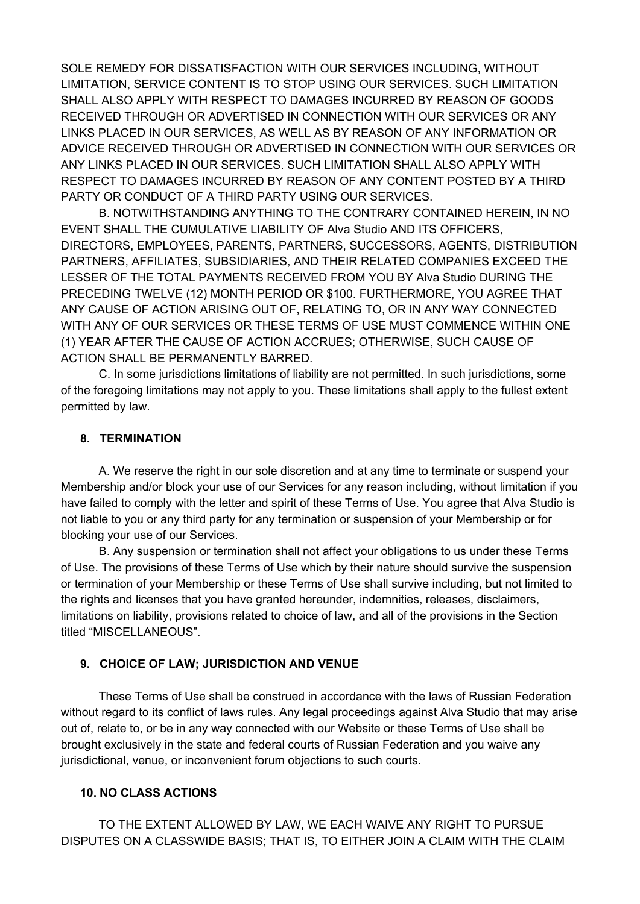SOLE REMEDY FOR DISSATISFACTION WITH OUR SERVICES INCLUDING, WITHOUT LIMITATION, SERVICE CONTENT IS TO STOP USING OUR SERVICES. SUCH LIMITATION SHALL ALSO APPLY WITH RESPECT TO DAMAGES INCURRED BY REASON OF GOODS RECEIVED THROUGH OR ADVERTISED IN CONNECTION WITH OUR SERVICES OR ANY LINKS PLACED IN OUR SERVICES, AS WELL AS BY REASON OF ANY INFORMATION OR ADVICE RECEIVED THROUGH OR ADVERTISED IN CONNECTION WITH OUR SERVICES OR ANY LINKS PLACED IN OUR SERVICES. SUCH LIMITATION SHALL ALSO APPLY WITH RESPECT TO DAMAGES INCURRED BY REASON OF ANY CONTENT POSTED BY A THIRD PARTY OR CONDUCT OF A THIRD PARTY USING OUR SERVICES.

B. NOTWITHSTANDING ANYTHING TO THE CONTRARY CONTAINED HEREIN, IN NO EVENT SHALL THE CUMULATIVE LIABILITY OF Alva Studio AND ITS OFFICERS, DIRECTORS, EMPLOYEES, PARENTS, PARTNERS, SUCCESSORS, AGENTS, DISTRIBUTION PARTNERS, AFFILIATES, SUBSIDIARIES, AND THEIR RELATED COMPANIES EXCEED THE LESSER OF THE TOTAL PAYMENTS RECEIVED FROM YOU BY Alva Studio DURING THE PRECEDING TWELVE (12) MONTH PERIOD OR \$100. FURTHERMORE, YOU AGREE THAT ANY CAUSE OF ACTION ARISING OUT OF, RELATING TO, OR IN ANY WAY CONNECTED WITH ANY OF OUR SERVICES OR THESE TERMS OF USE MUST COMMENCE WITHIN ONE (1) YEAR AFTER THE CAUSE OF ACTION ACCRUES; OTHERWISE, SUCH CAUSE OF ACTION SHALL BE PERMANENTLY BARRED.

C. In some jurisdictions limitations of liability are not permitted. In such jurisdictions, some of the foregoing limitations may not apply to you. These limitations shall apply to the fullest extent permitted by law.

#### **8. TERMINATION**

A. We reserve the right in our sole discretion and at any time to terminate or suspend your Membership and/or block your use of our Services for any reason including, without limitation if you have failed to comply with the letter and spirit of these Terms of Use. You agree that Alva Studio is not liable to you or any third party for any termination or suspension of your Membership or for blocking your use of our Services.

B. Any suspension or termination shall not affect your obligations to us under these Terms of Use. The provisions of these Terms of Use which by their nature should survive the suspension or termination of your Membership or these Terms of Use shall survive including, but not limited to the rights and licenses that you have granted hereunder, indemnities, releases, disclaimers, limitations on liability, provisions related to choice of law, and all of the provisions in the Section titled "MISCELLANEOUS".

#### **9. CHOICE OF LAW; JURISDICTION AND VENUE**

These Terms of Use shall be construed in accordance with the laws of Russian Federation without regard to its conflict of laws rules. Any legal proceedings against Alva Studio that may arise out of, relate to, or be in any way connected with our Website or these Terms of Use shall be brought exclusively in the state and federal courts of Russian Federation and you waive any jurisdictional, venue, or inconvenient forum objections to such courts.

#### **10. NO CLASS ACTIONS**

TO THE EXTENT ALLOWED BY LAW, WE EACH WAIVE ANY RIGHT TO PURSUE DISPUTES ON A CLASSWIDE BASIS; THAT IS, TO EITHER JOIN A CLAIM WITH THE CLAIM